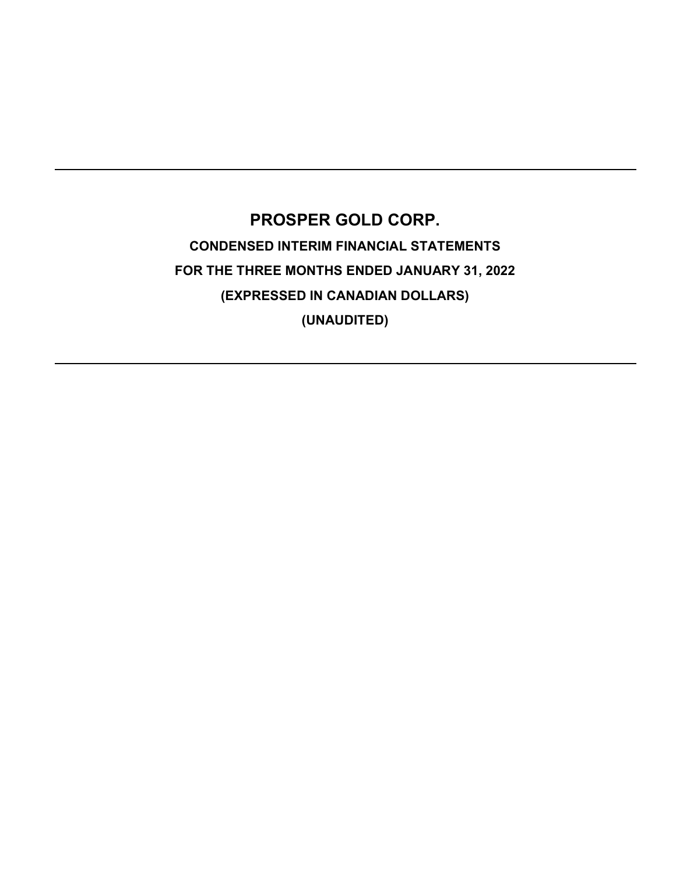# PROSPER GOLD CORP. CONDENSED INTERIM FINANCIAL STATEMENTS FOR THE THREE MONTHS ENDED JANUARY 31, 2022 (EXPRESSED IN CANADIAN DOLLARS) (UNAUDITED)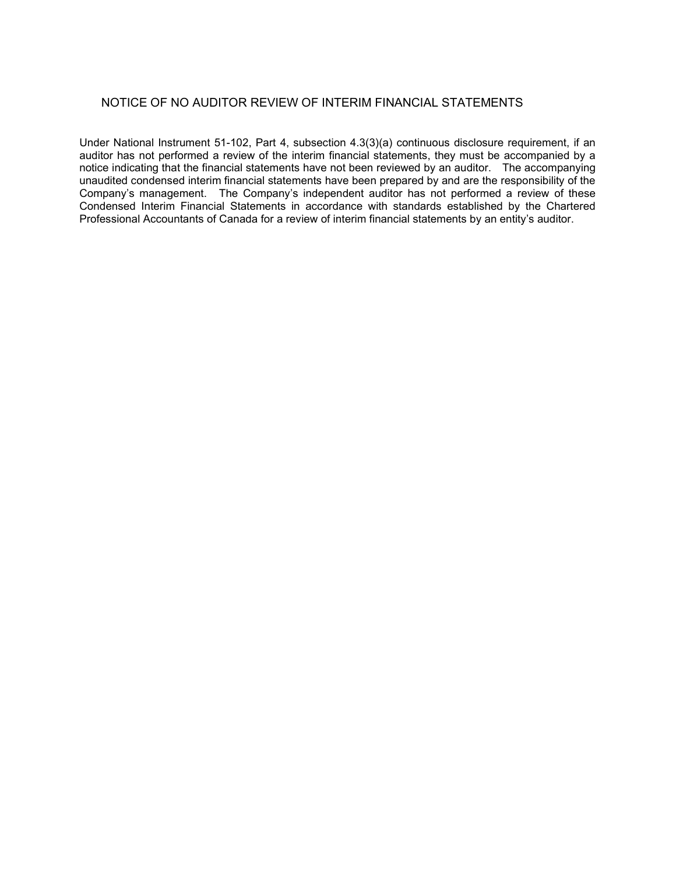# NOTICE OF NO AUDITOR REVIEW OF INTERIM FINANCIAL STATEMENTS

Under National Instrument 51-102, Part 4, subsection 4.3(3)(a) continuous disclosure requirement, if an auditor has not performed a review of the interim financial statements, they must be accompanied by a notice indicating that the financial statements have not been reviewed by an auditor. The accompanying unaudited condensed interim financial statements have been prepared by and are the responsibility of the Company's management. The Company's independent auditor has not performed a review of these Condensed Interim Financial Statements in accordance with standards established by the Chartered Professional Accountants of Canada for a review of interim financial statements by an entity's auditor.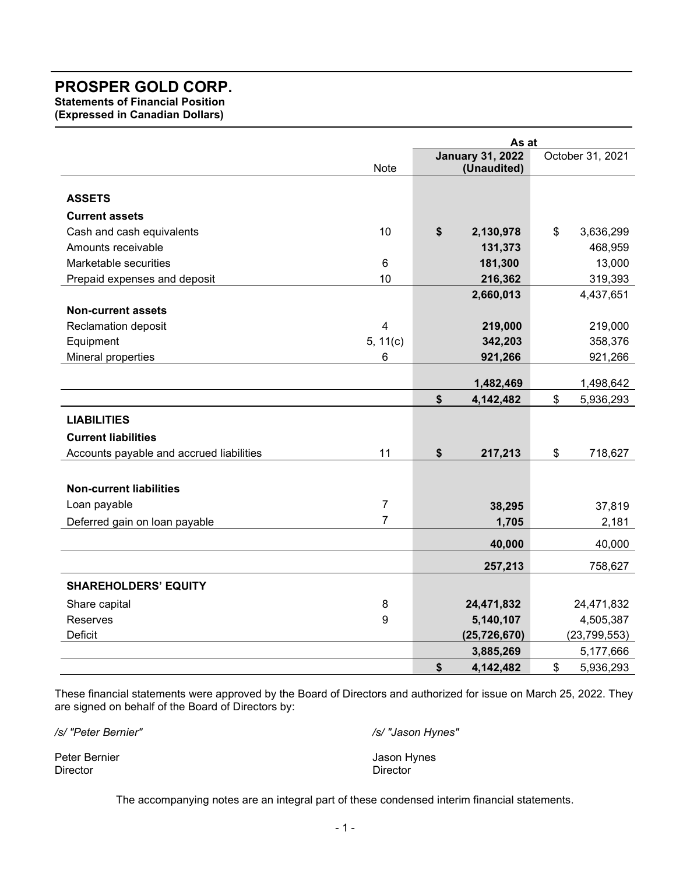Statements of Financial Position

(Expressed in Canadian Dollars)

|                                          |                         | As at |                         |    |                  |  |
|------------------------------------------|-------------------------|-------|-------------------------|----|------------------|--|
|                                          |                         |       | <b>January 31, 2022</b> |    | October 31, 2021 |  |
|                                          | Note                    |       | (Unaudited)             |    |                  |  |
| <b>ASSETS</b>                            |                         |       |                         |    |                  |  |
| <b>Current assets</b>                    |                         |       |                         |    |                  |  |
| Cash and cash equivalents                | 10                      | \$    | 2,130,978               | \$ | 3,636,299        |  |
| Amounts receivable                       |                         |       | 131,373                 |    | 468,959          |  |
| Marketable securities                    | 6                       |       | 181,300                 |    | 13,000           |  |
| Prepaid expenses and deposit             | 10                      |       | 216,362                 |    | 319,393          |  |
|                                          |                         |       | 2,660,013               |    | 4,437,651        |  |
| <b>Non-current assets</b>                |                         |       |                         |    |                  |  |
| <b>Reclamation deposit</b>               | $\overline{\mathbf{4}}$ |       | 219,000                 |    | 219,000          |  |
| Equipment                                | 5, 11(c)                |       | 342,203                 |    | 358,376          |  |
| Mineral properties                       | 6                       |       | 921,266                 |    | 921,266          |  |
|                                          |                         |       | 1,482,469               |    | 1,498,642        |  |
|                                          |                         | \$    | 4,142,482               | \$ | 5,936,293        |  |
| <b>LIABILITIES</b>                       |                         |       |                         |    |                  |  |
| <b>Current liabilities</b>               |                         |       |                         |    |                  |  |
| Accounts payable and accrued liabilities | 11                      | \$    | 217,213                 | \$ | 718,627          |  |
|                                          |                         |       |                         |    |                  |  |
| <b>Non-current liabilities</b>           |                         |       |                         |    |                  |  |
| Loan payable                             | $\overline{7}$          |       | 38,295                  |    | 37,819           |  |
| Deferred gain on loan payable            | $\overline{7}$          |       | 1,705                   |    | 2,181            |  |
|                                          |                         |       | 40,000                  |    | 40,000           |  |
|                                          |                         |       | 257,213                 |    | 758,627          |  |
| <b>SHAREHOLDERS' EQUITY</b>              |                         |       |                         |    |                  |  |
| Share capital                            | 8                       |       | 24,471,832              |    | 24,471,832       |  |
| Reserves                                 | 9                       |       | 5,140,107               |    | 4,505,387        |  |
| Deficit                                  |                         |       | (25, 726, 670)          |    | (23, 799, 553)   |  |
|                                          |                         |       | 3,885,269               |    | 5,177,666        |  |
|                                          |                         | \$    | 4,142,482               | \$ | 5,936,293        |  |

These financial statements were approved by the Board of Directors and authorized for issue on March 25, 2022. They are signed on behalf of the Board of Directors by:

/s/ "Peter Bernier" /s/ "Jason Hynes"

Peter Bernier Gernier Anders and The Contract of Texas and Texas Jason Hynes Director **Director** Director

The accompanying notes are an integral part of these condensed interim financial statements.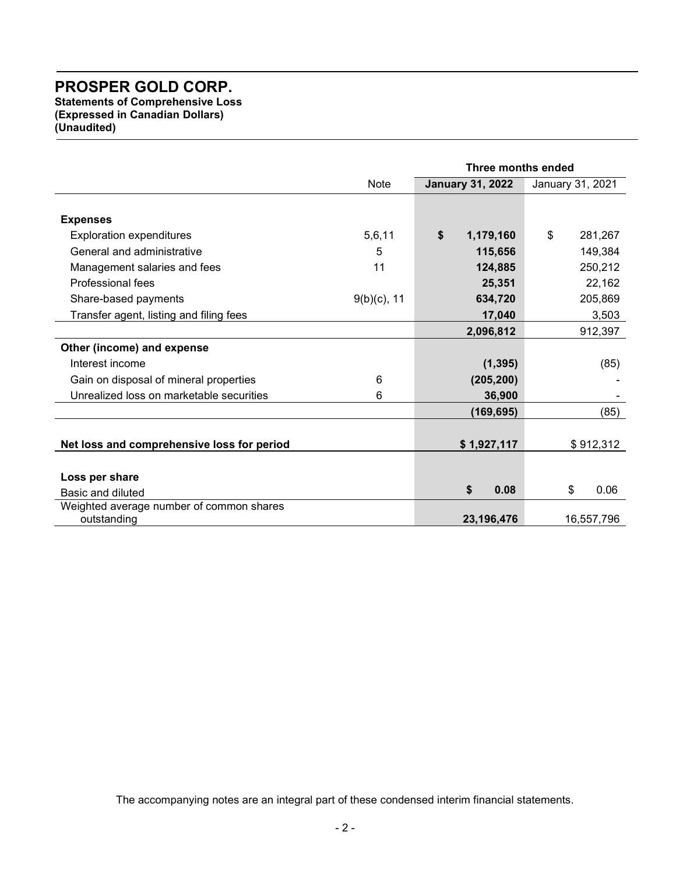Statements of Comprehensive Loss (Expressed in Canadian Dollars) (Unaudited)

|                                                         |                | Three months ended      |    |                  |  |  |
|---------------------------------------------------------|----------------|-------------------------|----|------------------|--|--|
|                                                         | <b>Note</b>    | <b>January 31, 2022</b> |    | January 31, 2021 |  |  |
|                                                         |                |                         |    |                  |  |  |
| <b>Expenses</b>                                         |                |                         |    |                  |  |  |
| <b>Exploration expenditures</b>                         | 5,6,11         | \$<br>1,179,160         | \$ | 281,267          |  |  |
| General and administrative                              | 5              | 115,656                 |    | 149,384          |  |  |
| Management salaries and fees                            | 11             | 124,885                 |    | 250,212          |  |  |
| Professional fees                                       |                | 25,351                  |    | 22,162           |  |  |
| Share-based payments                                    | $9(b)(c)$ , 11 | 634,720                 |    | 205,869          |  |  |
| Transfer agent, listing and filing fees                 |                | 17,040                  |    | 3,503            |  |  |
|                                                         |                | 2,096,812               |    | 912,397          |  |  |
| Other (income) and expense                              |                |                         |    |                  |  |  |
| Interest income                                         |                | (1, 395)                |    | (85)             |  |  |
| Gain on disposal of mineral properties                  | 6              | (205, 200)              |    |                  |  |  |
| Unrealized loss on marketable securities                | 6              | 36,900                  |    |                  |  |  |
|                                                         |                | (169, 695)              |    | (85)             |  |  |
|                                                         |                |                         |    |                  |  |  |
| Net loss and comprehensive loss for period              |                | \$1,927,117             |    | \$912,312        |  |  |
|                                                         |                |                         |    |                  |  |  |
| Loss per share                                          |                |                         |    |                  |  |  |
| Basic and diluted                                       |                | \$<br>0.08              |    | \$<br>0.06       |  |  |
| Weighted average number of common shares<br>outstanding |                | 23,196,476              |    | 16,557,796       |  |  |

The accompanying notes are an integral part of these condensed interim financial statements.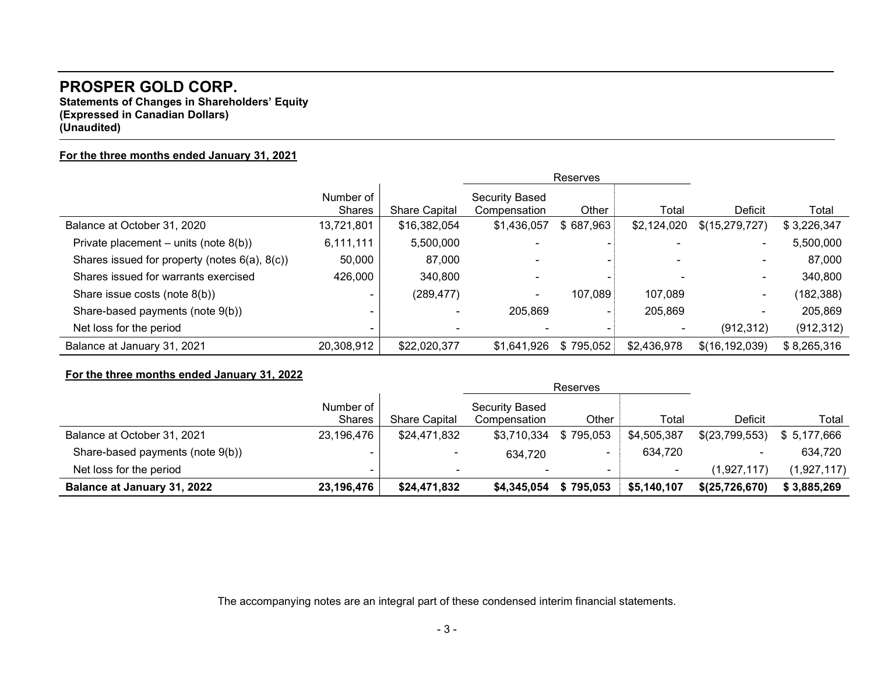Statements of Changes in Shareholders' Equity (Expressed in Canadian Dollars) (Unaudited)

### For the three months ended January 31, 2021

|                                                     |                     |                      | Reserves                              |           |             |                  |             |
|-----------------------------------------------------|---------------------|----------------------|---------------------------------------|-----------|-------------|------------------|-------------|
|                                                     | Number of<br>Shares | <b>Share Capital</b> | <b>Security Based</b><br>Compensation | Other     | Total       | Deficit          | Total       |
| Balance at October 31, 2020                         | 13,721,801          | \$16,382,054         | \$1,436,057                           | \$687,963 | \$2,124,020 | \$(15,279,727)   | \$3,226,347 |
| Private placement – units (note $8(b)$ )            | 6,111,111           | 5,500,000            |                                       |           |             |                  | 5,500,000   |
| Shares issued for property (notes $6(a)$ , $8(c)$ ) | 50,000              | 87,000               |                                       |           |             |                  | 87,000      |
| Shares issued for warrants exercised                | 426,000             | 340,800              | $\overline{\phantom{0}}$              |           |             |                  | 340,800     |
| Share issue costs (note 8(b))                       |                     | (289, 477)           | $\blacksquare$                        | 107,089   | 107,089     | -                | (182,388)   |
| Share-based payments (note 9(b))                    |                     |                      | 205,869                               |           | 205,869     |                  | 205,869     |
| Net loss for the period                             |                     |                      |                                       |           |             | (912, 312)       | (912, 312)  |
| Balance at January 31, 2021                         | 20,308,912          | \$22,020,377         | \$1,641,926                           | \$795,052 | \$2,436,978 | \$(16, 192, 039) | \$8,265,316 |

# For the three months ended January 31, 2022

|                                    |                            |                      |                                       | Reserves  |             |                |              |
|------------------------------------|----------------------------|----------------------|---------------------------------------|-----------|-------------|----------------|--------------|
|                                    | Number of<br><b>Shares</b> | <b>Share Capital</b> | <b>Security Based</b><br>Compensation | Other     | Total       | Deficit        | Total        |
| Balance at October 31, 2021        | 23,196,476                 | \$24,471,832         | \$3,710,334                           | \$795,053 | \$4,505,387 | \$(23,799,553) | \$ 5,177,666 |
| Share-based payments (note 9(b))   |                            |                      | 634,720                               |           | 634,720     | ۰              | 634,720      |
| Net loss for the period            | -                          | $\sim$               | $\overline{\phantom{a}}$              |           | $\sim$      | (1,927,117)    | (1,927,117)  |
| <b>Balance at January 31, 2022</b> | 23,196,476                 | \$24,471,832         | \$4,345,054                           | \$795,053 | \$5,140,107 | \$(25,726,670) | \$3,885,269  |

The accompanying notes are an integral part of these condensed interim financial statements.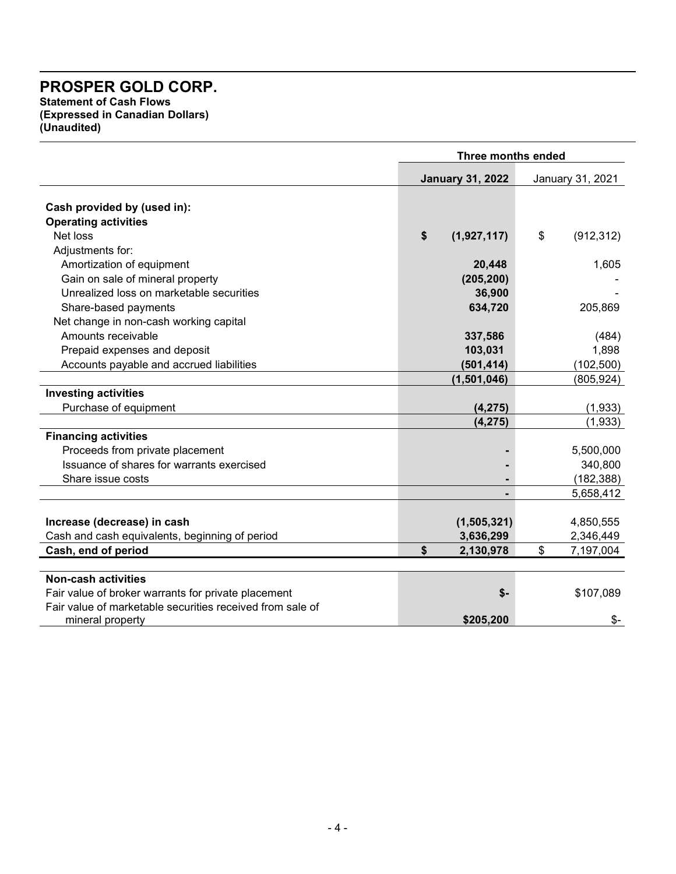Statement of Cash Flows (Expressed in Canadian Dollars) (Unaudited)

|                                                                              |                         | Three months ended           |  |  |  |  |
|------------------------------------------------------------------------------|-------------------------|------------------------------|--|--|--|--|
|                                                                              | <b>January 31, 2022</b> | January 31, 2021             |  |  |  |  |
| Cash provided by (used in):                                                  |                         |                              |  |  |  |  |
| <b>Operating activities</b>                                                  |                         |                              |  |  |  |  |
| Net loss                                                                     | \$<br>(1,927,117)       | $\mathfrak{S}$<br>(912, 312) |  |  |  |  |
| Adjustments for:                                                             |                         |                              |  |  |  |  |
| Amortization of equipment                                                    |                         | 1,605                        |  |  |  |  |
|                                                                              | 20,448                  |                              |  |  |  |  |
| Gain on sale of mineral property<br>Unrealized loss on marketable securities | (205, 200)              |                              |  |  |  |  |
|                                                                              | 36,900                  |                              |  |  |  |  |
| Share-based payments                                                         | 634,720                 | 205,869                      |  |  |  |  |
| Net change in non-cash working capital                                       |                         |                              |  |  |  |  |
| Amounts receivable                                                           | 337,586                 | (484)                        |  |  |  |  |
| Prepaid expenses and deposit                                                 | 103,031                 | 1,898                        |  |  |  |  |
| Accounts payable and accrued liabilities                                     | (501, 414)              | (102, 500)                   |  |  |  |  |
|                                                                              | (1,501,046)             | (805, 924)                   |  |  |  |  |
| <b>Investing activities</b>                                                  |                         |                              |  |  |  |  |
| Purchase of equipment                                                        | (4, 275)                | (1,933)                      |  |  |  |  |
|                                                                              | (4, 275)                | (1,933)                      |  |  |  |  |
| <b>Financing activities</b>                                                  |                         |                              |  |  |  |  |
| Proceeds from private placement                                              |                         | 5,500,000                    |  |  |  |  |
| Issuance of shares for warrants exercised                                    |                         | 340,800                      |  |  |  |  |
| Share issue costs                                                            |                         | (182, 388)                   |  |  |  |  |
|                                                                              |                         | 5,658,412                    |  |  |  |  |
|                                                                              |                         |                              |  |  |  |  |
| Increase (decrease) in cash                                                  | (1,505,321)             | 4,850,555                    |  |  |  |  |
| Cash and cash equivalents, beginning of period                               | 3,636,299               | 2,346,449                    |  |  |  |  |
| Cash, end of period                                                          | \$<br>2,130,978         | \$<br>7,197,004              |  |  |  |  |
|                                                                              |                         |                              |  |  |  |  |
| <b>Non-cash activities</b>                                                   |                         |                              |  |  |  |  |
| Fair value of broker warrants for private placement                          |                         | \$-<br>\$107,089             |  |  |  |  |
| Fair value of marketable securities received from sale of                    |                         |                              |  |  |  |  |
| mineral property                                                             | \$205,200               | $$-$                         |  |  |  |  |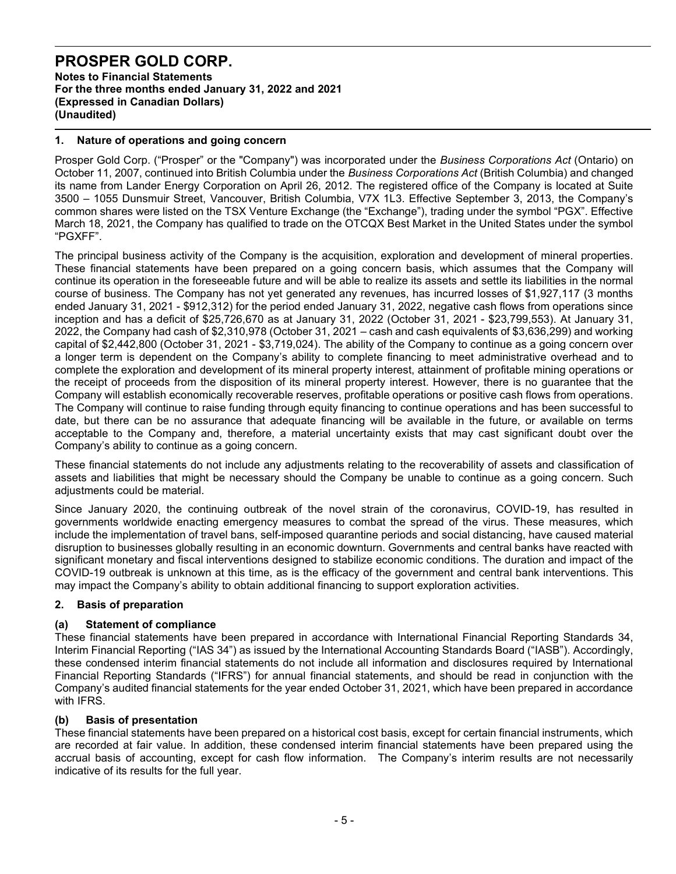Notes to Financial Statements For the three months ended January 31, 2022 and 2021 (Expressed in Canadian Dollars) (Unaudited)

# 1. Nature of operations and going concern

Prosper Gold Corp. ("Prosper" or the "Company") was incorporated under the Business Corporations Act (Ontario) on October 11, 2007, continued into British Columbia under the Business Corporations Act (British Columbia) and changed its name from Lander Energy Corporation on April 26, 2012. The registered office of the Company is located at Suite 3500 – 1055 Dunsmuir Street, Vancouver, British Columbia, V7X 1L3. Effective September 3, 2013, the Company's common shares were listed on the TSX Venture Exchange (the "Exchange"), trading under the symbol "PGX". Effective March 18, 2021, the Company has qualified to trade on the OTCQX Best Market in the United States under the symbol "PGXFF".

The principal business activity of the Company is the acquisition, exploration and development of mineral properties. These financial statements have been prepared on a going concern basis, which assumes that the Company will continue its operation in the foreseeable future and will be able to realize its assets and settle its liabilities in the normal course of business. The Company has not yet generated any revenues, has incurred losses of \$1,927,117 (3 months ended January 31, 2021 - \$912,312) for the period ended January 31, 2022, negative cash flows from operations since inception and has a deficit of \$25,726,670 as at January 31, 2022 (October 31, 2021 - \$23,799,553). At January 31, 2022, the Company had cash of \$2,310,978 (October 31, 2021 – cash and cash equivalents of \$3,636,299) and working capital of \$2,442,800 (October 31, 2021 - \$3,719,024). The ability of the Company to continue as a going concern over a longer term is dependent on the Company's ability to complete financing to meet administrative overhead and to complete the exploration and development of its mineral property interest, attainment of profitable mining operations or the receipt of proceeds from the disposition of its mineral property interest. However, there is no guarantee that the Company will establish economically recoverable reserves, profitable operations or positive cash flows from operations. The Company will continue to raise funding through equity financing to continue operations and has been successful to date, but there can be no assurance that adequate financing will be available in the future, or available on terms acceptable to the Company and, therefore, a material uncertainty exists that may cast significant doubt over the Company's ability to continue as a going concern.

These financial statements do not include any adjustments relating to the recoverability of assets and classification of assets and liabilities that might be necessary should the Company be unable to continue as a going concern. Such adjustments could be material.

Since January 2020, the continuing outbreak of the novel strain of the coronavirus, COVID-19, has resulted in governments worldwide enacting emergency measures to combat the spread of the virus. These measures, which include the implementation of travel bans, self-imposed quarantine periods and social distancing, have caused material disruption to businesses globally resulting in an economic downturn. Governments and central banks have reacted with significant monetary and fiscal interventions designed to stabilize economic conditions. The duration and impact of the COVID-19 outbreak is unknown at this time, as is the efficacy of the government and central bank interventions. This may impact the Company's ability to obtain additional financing to support exploration activities.

# 2. Basis of preparation

# (a) Statement of compliance

These financial statements have been prepared in accordance with International Financial Reporting Standards 34, Interim Financial Reporting ("IAS 34") as issued by the International Accounting Standards Board ("IASB"). Accordingly, these condensed interim financial statements do not include all information and disclosures required by International Financial Reporting Standards ("IFRS") for annual financial statements, and should be read in conjunction with the Company's audited financial statements for the year ended October 31, 2021, which have been prepared in accordance with IFRS.

# (b) Basis of presentation

These financial statements have been prepared on a historical cost basis, except for certain financial instruments, which are recorded at fair value. In addition, these condensed interim financial statements have been prepared using the accrual basis of accounting, except for cash flow information. The Company's interim results are not necessarily indicative of its results for the full year.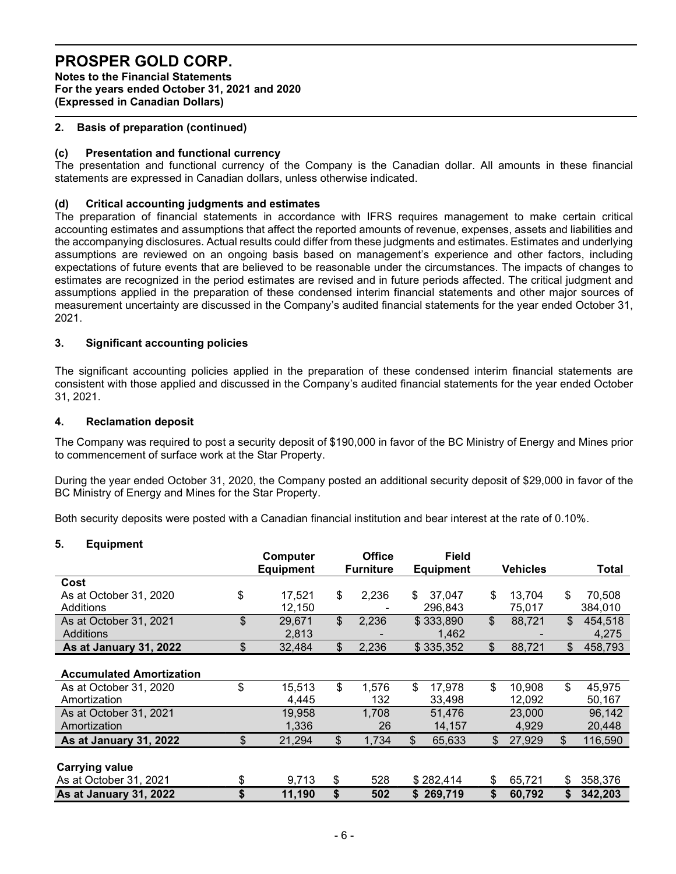Notes to the Financial Statements For the years ended October 31, 2021 and 2020 (Expressed in Canadian Dollars)

# 2. Basis of preparation (continued)

### (c) Presentation and functional currency

The presentation and functional currency of the Company is the Canadian dollar. All amounts in these financial statements are expressed in Canadian dollars, unless otherwise indicated.

### (d) Critical accounting judgments and estimates

The preparation of financial statements in accordance with IFRS requires management to make certain critical accounting estimates and assumptions that affect the reported amounts of revenue, expenses, assets and liabilities and the accompanying disclosures. Actual results could differ from these judgments and estimates. Estimates and underlying assumptions are reviewed on an ongoing basis based on management's experience and other factors, including expectations of future events that are believed to be reasonable under the circumstances. The impacts of changes to estimates are recognized in the period estimates are revised and in future periods affected. The critical judgment and assumptions applied in the preparation of these condensed interim financial statements and other major sources of measurement uncertainty are discussed in the Company's audited financial statements for the year ended October 31, 2021.

### 3. Significant accounting policies

The significant accounting policies applied in the preparation of these condensed interim financial statements are consistent with those applied and discussed in the Company's audited financial statements for the year ended October 31, 2021.

### 4. Reclamation deposit

The Company was required to post a security deposit of \$190,000 in favor of the BC Ministry of Energy and Mines prior to commencement of surface work at the Star Property.

During the year ended October 31, 2020, the Company posted an additional security deposit of \$29,000 in favor of the BC Ministry of Energy and Mines for the Star Property.

Both security deposits were posted with a Canadian financial institution and bear interest at the rate of 0.10%.

#### 5. Equipment

|                                 | Computer<br><b>Equipment</b> | <b>Office</b><br><b>Furniture</b> | <b>Field</b><br><b>Equipment</b> |     | <b>Vehicles</b> | Total         |
|---------------------------------|------------------------------|-----------------------------------|----------------------------------|-----|-----------------|---------------|
| Cost                            |                              |                                   |                                  |     |                 |               |
| As at October 31, 2020          | \$<br>17,521                 | \$<br>2,236                       | 37,047<br>\$                     | \$  | 13,704          | \$<br>70,508  |
| Additions                       | 12,150                       |                                   | 296,843                          |     | 75,017          | 384,010       |
| As at October 31, 2021          | \$<br>29,671                 | \$<br>2,236                       | \$333,890                        | \$  | 88,721          | \$<br>454,518 |
| Additions                       | 2,813                        |                                   | 1,462                            |     |                 | 4,275         |
| As at January 31, 2022          | \$<br>32,484                 | \$<br>2,236                       | \$335,352                        | \$  | 88,721          | \$<br>458,793 |
|                                 |                              |                                   |                                  |     |                 |               |
| <b>Accumulated Amortization</b> |                              |                                   |                                  |     |                 |               |
| As at October 31, 2020          | \$<br>15,513                 | \$<br>1,576                       | \$<br>17,978                     | \$  | 10,908          | \$<br>45,975  |
| Amortization                    | 4,445                        | 132                               | 33,498                           |     | 12,092          | 50,167        |
| As at October 31, 2021          | 19,958                       | 1,708                             | 51,476                           |     | 23,000          | 96,142        |
| Amortization                    | 1,336                        | 26                                | 14,157                           |     | 4,929           | 20,448        |
| As at January 31, 2022          | \$<br>21,294                 | \$<br>1,734                       | \$<br>65,633                     | \$  | 27,929          | \$<br>116,590 |
|                                 |                              |                                   |                                  |     |                 |               |
| <b>Carrying value</b>           |                              |                                   |                                  |     |                 |               |
| As at October 31, 2021          | \$<br>9,713                  | \$<br>528                         | \$282,414                        | \$. | 65,721          | \$<br>358,376 |
| As at January 31, 2022          | \$<br>11,190                 | \$<br>502                         | \$269,719                        | \$  | 60,792          | \$<br>342,203 |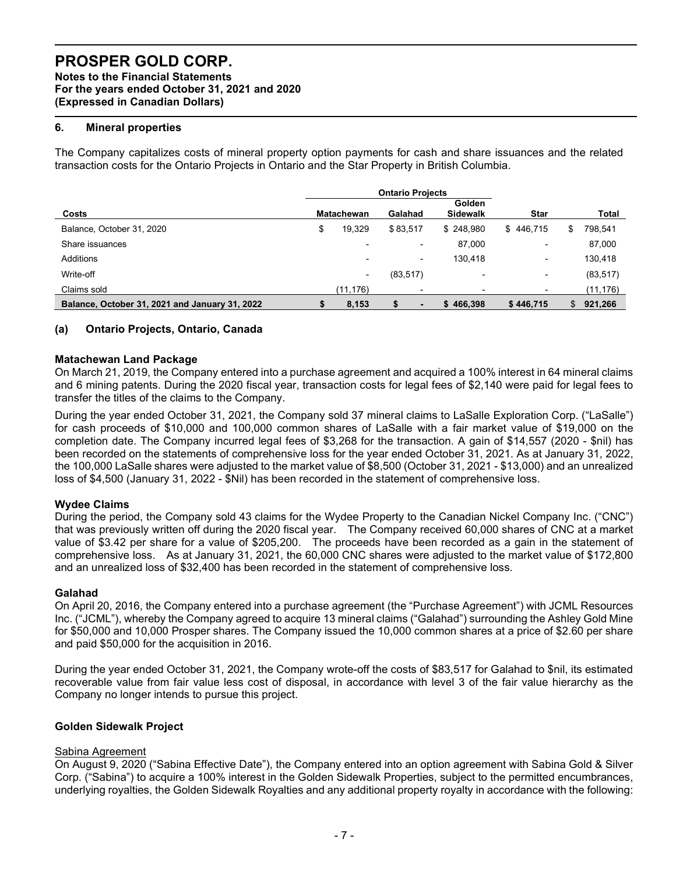Notes to the Financial Statements For the years ended October 31, 2021 and 2020 (Expressed in Canadian Dollars)

# 6. Mineral properties

The Company capitalizes costs of mineral property option payments for cash and share issuances and the related transaction costs for the Ontario Projects in Ontario and the Star Property in British Columbia.

|                                                |                   | <b>Ontario Projects</b> |                                  |             |    |              |
|------------------------------------------------|-------------------|-------------------------|----------------------------------|-------------|----|--------------|
| Costs                                          | <b>Matachewan</b> | Galahad                 | <b>Golden</b><br><b>Sidewalk</b> | <b>Star</b> |    | <b>Total</b> |
| Balance, October 31, 2020                      | \$<br>19,329      | \$83,517                | \$248.980                        | \$446.715   | S  | 798,541      |
| Share issuances                                |                   | ٠                       | 87,000                           | -           |    | 87,000       |
| Additions                                      |                   | ٠                       | 130.418                          | ٠           |    | 130,418      |
| Write-off                                      | ۰                 | (83, 517)               | -                                | ۰           |    | (83, 517)    |
| Claims sold                                    | (11, 176)         |                         |                                  |             |    | (11, 176)    |
| Balance, October 31, 2021 and January 31, 2022 | 8,153             |                         | \$466.398                        | \$446.715   | S. | 921.266      |

### (a) Ontario Projects, Ontario, Canada

#### Matachewan Land Package

On March 21, 2019, the Company entered into a purchase agreement and acquired a 100% interest in 64 mineral claims and 6 mining patents. During the 2020 fiscal year, transaction costs for legal fees of \$2,140 were paid for legal fees to transfer the titles of the claims to the Company.

During the year ended October 31, 2021, the Company sold 37 mineral claims to LaSalle Exploration Corp. ("LaSalle") for cash proceeds of \$10,000 and 100,000 common shares of LaSalle with a fair market value of \$19,000 on the completion date. The Company incurred legal fees of \$3,268 for the transaction. A gain of \$14,557 (2020 - \$nil) has been recorded on the statements of comprehensive loss for the year ended October 31, 2021. As at January 31, 2022, the 100,000 LaSalle shares were adjusted to the market value of \$8,500 (October 31, 2021 - \$13,000) and an unrealized loss of \$4,500 (January 31, 2022 - \$Nil) has been recorded in the statement of comprehensive loss.

#### Wydee Claims

During the period, the Company sold 43 claims for the Wydee Property to the Canadian Nickel Company Inc. ("CNC") that was previously written off during the 2020 fiscal year. The Company received 60,000 shares of CNC at a market value of \$3.42 per share for a value of \$205,200. The proceeds have been recorded as a gain in the statement of comprehensive loss. As at January 31, 2021, the 60,000 CNC shares were adjusted to the market value of \$172,800 and an unrealized loss of \$32,400 has been recorded in the statement of comprehensive loss.

#### Galahad

On April 20, 2016, the Company entered into a purchase agreement (the "Purchase Agreement") with JCML Resources Inc. ("JCML"), whereby the Company agreed to acquire 13 mineral claims ("Galahad") surrounding the Ashley Gold Mine for \$50,000 and 10,000 Prosper shares. The Company issued the 10,000 common shares at a price of \$2.60 per share and paid \$50,000 for the acquisition in 2016.

During the year ended October 31, 2021, the Company wrote-off the costs of \$83,517 for Galahad to \$nil, its estimated recoverable value from fair value less cost of disposal, in accordance with level 3 of the fair value hierarchy as the Company no longer intends to pursue this project.

#### Golden Sidewalk Project

#### Sabina Agreement

On August 9, 2020 ("Sabina Effective Date"), the Company entered into an option agreement with Sabina Gold & Silver Corp. ("Sabina") to acquire a 100% interest in the Golden Sidewalk Properties, subject to the permitted encumbrances, underlying royalties, the Golden Sidewalk Royalties and any additional property royalty in accordance with the following: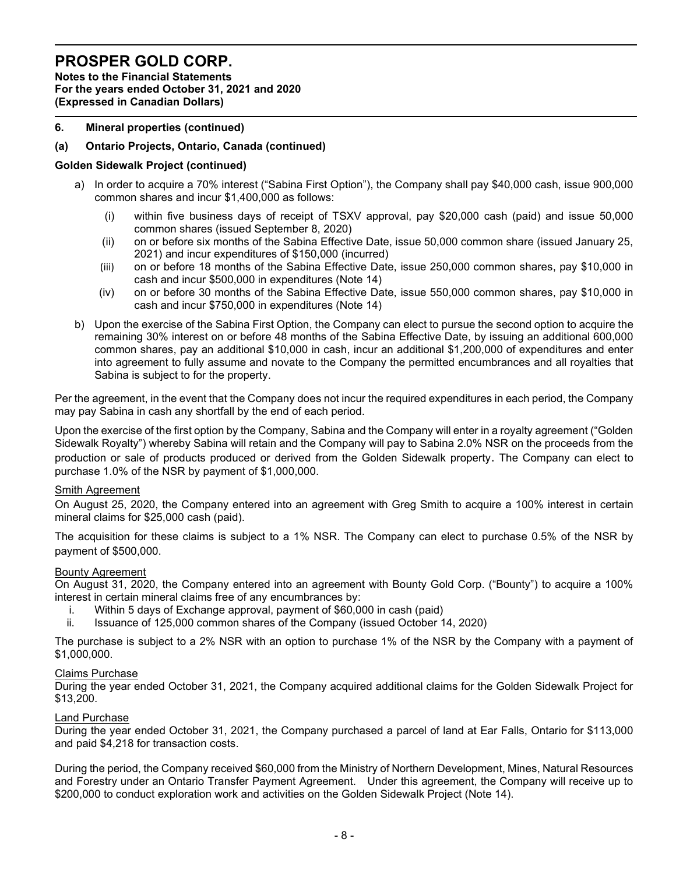Notes to the Financial Statements For the years ended October 31, 2021 and 2020 (Expressed in Canadian Dollars)

# 6. Mineral properties (continued)

### (a) Ontario Projects, Ontario, Canada (continued)

#### Golden Sidewalk Project (continued)

- a) In order to acquire a 70% interest ("Sabina First Option"), the Company shall pay \$40,000 cash, issue 900,000 common shares and incur \$1,400,000 as follows:
	- (i) within five business days of receipt of TSXV approval, pay \$20,000 cash (paid) and issue 50,000 common shares (issued September 8, 2020)
	- (ii) on or before six months of the Sabina Effective Date, issue 50,000 common share (issued January 25, 2021) and incur expenditures of \$150,000 (incurred)
	- (iii) on or before 18 months of the Sabina Effective Date, issue 250,000 common shares, pay \$10,000 in cash and incur \$500,000 in expenditures (Note 14)
	- (iv) on or before 30 months of the Sabina Effective Date, issue 550,000 common shares, pay \$10,000 in cash and incur \$750,000 in expenditures (Note 14)
- b) Upon the exercise of the Sabina First Option, the Company can elect to pursue the second option to acquire the remaining 30% interest on or before 48 months of the Sabina Effective Date, by issuing an additional 600,000 common shares, pay an additional \$10,000 in cash, incur an additional \$1,200,000 of expenditures and enter into agreement to fully assume and novate to the Company the permitted encumbrances and all royalties that Sabina is subject to for the property.

Per the agreement, in the event that the Company does not incur the required expenditures in each period, the Company may pay Sabina in cash any shortfall by the end of each period.

Upon the exercise of the first option by the Company, Sabina and the Company will enter in a royalty agreement ("Golden Sidewalk Royalty") whereby Sabina will retain and the Company will pay to Sabina 2.0% NSR on the proceeds from the production or sale of products produced or derived from the Golden Sidewalk property. The Company can elect to purchase 1.0% of the NSR by payment of \$1,000,000.

#### **Smith Agreement**

On August 25, 2020, the Company entered into an agreement with Greg Smith to acquire a 100% interest in certain mineral claims for \$25,000 cash (paid).

The acquisition for these claims is subject to a 1% NSR. The Company can elect to purchase 0.5% of the NSR by payment of \$500,000.

#### Bounty Agreement

On August 31, 2020, the Company entered into an agreement with Bounty Gold Corp. ("Bounty") to acquire a 100% interest in certain mineral claims free of any encumbrances by:

- i. Within 5 days of Exchange approval, payment of \$60,000 in cash (paid)
- ii. Issuance of 125,000 common shares of the Company (issued October 14, 2020)

The purchase is subject to a 2% NSR with an option to purchase 1% of the NSR by the Company with a payment of \$1,000,000.

#### Claims Purchase

During the year ended October 31, 2021, the Company acquired additional claims for the Golden Sidewalk Project for \$13,200.

### Land Purchase

During the year ended October 31, 2021, the Company purchased a parcel of land at Ear Falls, Ontario for \$113,000 and paid \$4,218 for transaction costs.

During the period, the Company received \$60,000 from the Ministry of Northern Development, Mines, Natural Resources and Forestry under an Ontario Transfer Payment Agreement. Under this agreement, the Company will receive up to \$200,000 to conduct exploration work and activities on the Golden Sidewalk Project (Note 14).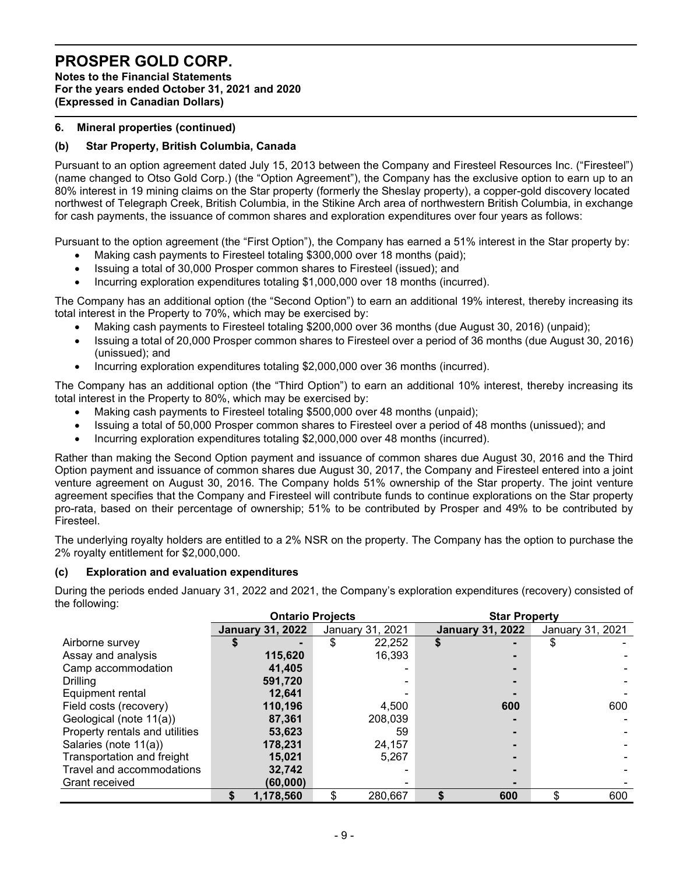Notes to the Financial Statements For the years ended October 31, 2021 and 2020 (Expressed in Canadian Dollars)

# 6. Mineral properties (continued)

# (b) Star Property, British Columbia, Canada

Pursuant to an option agreement dated July 15, 2013 between the Company and Firesteel Resources Inc. ("Firesteel") (name changed to Otso Gold Corp.) (the "Option Agreement"), the Company has the exclusive option to earn up to an 80% interest in 19 mining claims on the Star property (formerly the Sheslay property), a copper-gold discovery located northwest of Telegraph Creek, British Columbia, in the Stikine Arch area of northwestern British Columbia, in exchange for cash payments, the issuance of common shares and exploration expenditures over four years as follows:

Pursuant to the option agreement (the "First Option"), the Company has earned a 51% interest in the Star property by:

- Making cash payments to Firesteel totaling \$300,000 over 18 months (paid);
- Issuing a total of 30,000 Prosper common shares to Firesteel (issued); and
- Incurring exploration expenditures totaling \$1,000,000 over 18 months (incurred).

The Company has an additional option (the "Second Option") to earn an additional 19% interest, thereby increasing its total interest in the Property to 70%, which may be exercised by:

- Making cash payments to Firesteel totaling \$200,000 over 36 months (due August 30, 2016) (unpaid);
- Issuing a total of 20,000 Prosper common shares to Firesteel over a period of 36 months (due August 30, 2016) (unissued); and
- Incurring exploration expenditures totaling \$2,000,000 over 36 months (incurred).

The Company has an additional option (the "Third Option") to earn an additional 10% interest, thereby increasing its total interest in the Property to 80%, which may be exercised by:

- Making cash payments to Firesteel totaling \$500,000 over 48 months (unpaid);
- Issuing a total of 50,000 Prosper common shares to Firesteel over a period of 48 months (unissued); and
- Incurring exploration expenditures totaling \$2,000,000 over 48 months (incurred).

Rather than making the Second Option payment and issuance of common shares due August 30, 2016 and the Third Option payment and issuance of common shares due August 30, 2017, the Company and Firesteel entered into a joint venture agreement on August 30, 2016. The Company holds 51% ownership of the Star property. The joint venture agreement specifies that the Company and Firesteel will contribute funds to continue explorations on the Star property pro-rata, based on their percentage of ownership; 51% to be contributed by Prosper and 49% to be contributed by Firesteel.

The underlying royalty holders are entitled to a 2% NSR on the property. The Company has the option to purchase the 2% royalty entitlement for \$2,000,000.

# (c) Exploration and evaluation expenditures

During the periods ended January 31, 2022 and 2021, the Company's exploration expenditures (recovery) consisted of the following:

|                                | <b>Ontario Projects</b> |                  | <b>Star Property</b>    |    |                  |  |  |
|--------------------------------|-------------------------|------------------|-------------------------|----|------------------|--|--|
|                                | <b>January 31, 2022</b> | January 31, 2021 | <b>January 31, 2022</b> |    | January 31, 2021 |  |  |
| Airborne survey                |                         | \$<br>22,252     | \$                      | \$ |                  |  |  |
| Assay and analysis             | 115,620                 | 16,393           |                         |    |                  |  |  |
| Camp accommodation             | 41,405                  |                  |                         |    |                  |  |  |
| <b>Drilling</b>                | 591,720                 |                  |                         |    |                  |  |  |
| Equipment rental               | 12.641                  |                  |                         |    |                  |  |  |
| Field costs (recovery)         | 110,196                 | 4,500            | 600                     |    | 600              |  |  |
| Geological (note 11(a))        | 87.361                  | 208.039          |                         |    |                  |  |  |
| Property rentals and utilities | 53,623                  | 59               |                         |    |                  |  |  |
| Salaries (note 11(a))          | 178,231                 | 24.157           |                         |    |                  |  |  |
| Transportation and freight     | 15,021                  | 5.267            |                         |    |                  |  |  |
| Travel and accommodations      | 32,742                  |                  |                         |    |                  |  |  |
| Grant received                 | (60,000)                |                  |                         |    |                  |  |  |
|                                | 1,178,560               | \$<br>280,667    | 600                     | \$ | 600              |  |  |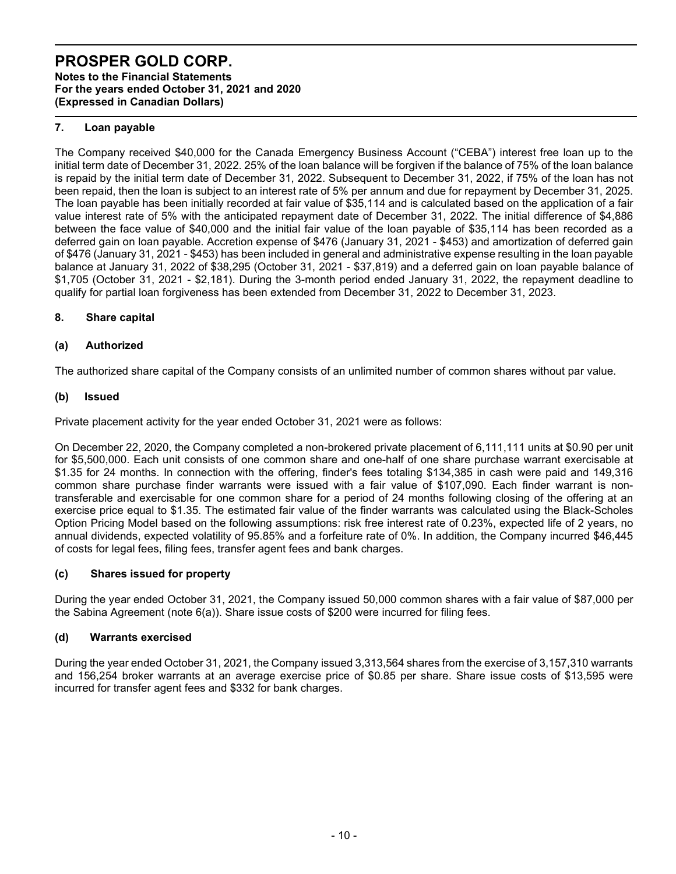# PROSPER GOLD CORP. Notes to the Financial Statements

For the years ended October 31, 2021 and 2020

(Expressed in Canadian Dollars)

# 7. Loan payable

The Company received \$40,000 for the Canada Emergency Business Account ("CEBA") interest free loan up to the initial term date of December 31, 2022. 25% of the loan balance will be forgiven if the balance of 75% of the loan balance is repaid by the initial term date of December 31, 2022. Subsequent to December 31, 2022, if 75% of the loan has not been repaid, then the loan is subject to an interest rate of 5% per annum and due for repayment by December 31, 2025. The loan payable has been initially recorded at fair value of \$35,114 and is calculated based on the application of a fair value interest rate of 5% with the anticipated repayment date of December 31, 2022. The initial difference of \$4,886 between the face value of \$40,000 and the initial fair value of the loan payable of \$35,114 has been recorded as a deferred gain on loan payable. Accretion expense of \$476 (January 31, 2021 - \$453) and amortization of deferred gain of \$476 (January 31, 2021 - \$453) has been included in general and administrative expense resulting in the loan payable balance at January 31, 2022 of \$38,295 (October 31, 2021 - \$37,819) and a deferred gain on loan payable balance of \$1,705 (October 31, 2021 - \$2,181). During the 3-month period ended January 31, 2022, the repayment deadline to qualify for partial loan forgiveness has been extended from December 31, 2022 to December 31, 2023.

# 8. Share capital

# (a) Authorized

The authorized share capital of the Company consists of an unlimited number of common shares without par value.

# (b) Issued

Private placement activity for the year ended October 31, 2021 were as follows:

On December 22, 2020, the Company completed a non-brokered private placement of 6,111,111 units at \$0.90 per unit for \$5,500,000. Each unit consists of one common share and one-half of one share purchase warrant exercisable at \$1.35 for 24 months. In connection with the offering, finder's fees totaling \$134,385 in cash were paid and 149,316 common share purchase finder warrants were issued with a fair value of \$107,090. Each finder warrant is nontransferable and exercisable for one common share for a period of 24 months following closing of the offering at an exercise price equal to \$1.35. The estimated fair value of the finder warrants was calculated using the Black-Scholes Option Pricing Model based on the following assumptions: risk free interest rate of 0.23%, expected life of 2 years, no annual dividends, expected volatility of 95.85% and a forfeiture rate of 0%. In addition, the Company incurred \$46,445 of costs for legal fees, filing fees, transfer agent fees and bank charges.

# (c) Shares issued for property

During the year ended October 31, 2021, the Company issued 50,000 common shares with a fair value of \$87,000 per the Sabina Agreement (note 6(a)). Share issue costs of \$200 were incurred for filing fees.

# (d) Warrants exercised

During the year ended October 31, 2021, the Company issued 3,313,564 shares from the exercise of 3,157,310 warrants and 156,254 broker warrants at an average exercise price of \$0.85 per share. Share issue costs of \$13,595 were incurred for transfer agent fees and \$332 for bank charges.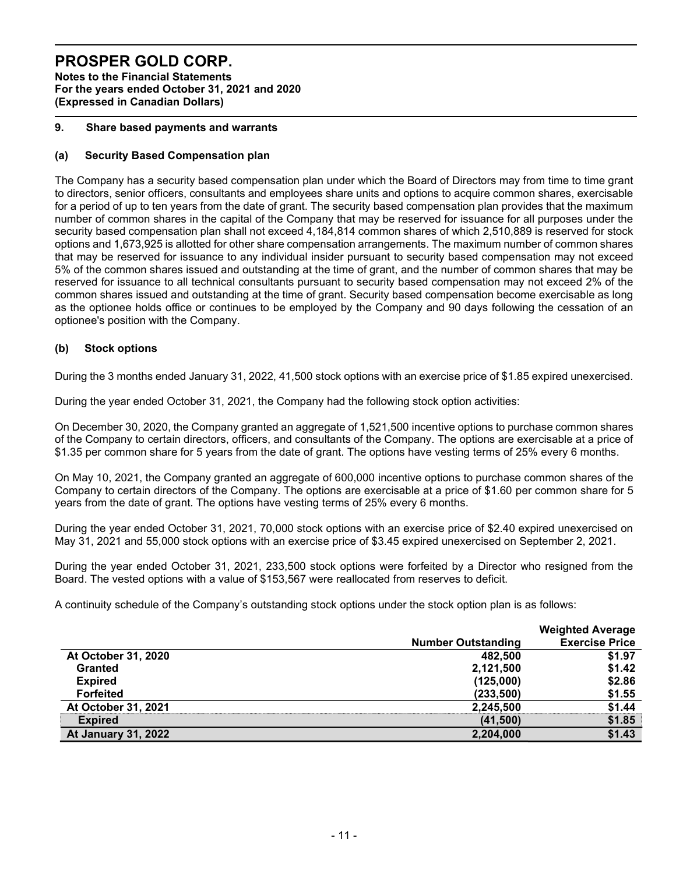Notes to the Financial Statements For the years ended October 31, 2021 and 2020 (Expressed in Canadian Dollars)

# 9. Share based payments and warrants

# (a) Security Based Compensation plan

The Company has a security based compensation plan under which the Board of Directors may from time to time grant to directors, senior officers, consultants and employees share units and options to acquire common shares, exercisable for a period of up to ten years from the date of grant. The security based compensation plan provides that the maximum number of common shares in the capital of the Company that may be reserved for issuance for all purposes under the security based compensation plan shall not exceed 4,184,814 common shares of which 2,510,889 is reserved for stock options and 1,673,925 is allotted for other share compensation arrangements. The maximum number of common shares that may be reserved for issuance to any individual insider pursuant to security based compensation may not exceed 5% of the common shares issued and outstanding at the time of grant, and the number of common shares that may be reserved for issuance to all technical consultants pursuant to security based compensation may not exceed 2% of the common shares issued and outstanding at the time of grant. Security based compensation become exercisable as long as the optionee holds office or continues to be employed by the Company and 90 days following the cessation of an optionee's position with the Company.

# (b) Stock options

During the 3 months ended January 31, 2022, 41,500 stock options with an exercise price of \$1.85 expired unexercised.

During the year ended October 31, 2021, the Company had the following stock option activities:

On December 30, 2020, the Company granted an aggregate of 1,521,500 incentive options to purchase common shares of the Company to certain directors, officers, and consultants of the Company. The options are exercisable at a price of \$1.35 per common share for 5 years from the date of grant. The options have vesting terms of 25% every 6 months.

On May 10, 2021, the Company granted an aggregate of 600,000 incentive options to purchase common shares of the Company to certain directors of the Company. The options are exercisable at a price of \$1.60 per common share for 5 years from the date of grant. The options have vesting terms of 25% every 6 months.

During the year ended October 31, 2021, 70,000 stock options with an exercise price of \$2.40 expired unexercised on May 31, 2021 and 55,000 stock options with an exercise price of \$3.45 expired unexercised on September 2, 2021.

During the year ended October 31, 2021, 233,500 stock options were forfeited by a Director who resigned from the Board. The vested options with a value of \$153,567 were reallocated from reserves to deficit.

A continuity schedule of the Company's outstanding stock options under the stock option plan is as follows:

|                            |                           | <b>Weighted Average</b> |
|----------------------------|---------------------------|-------------------------|
|                            | <b>Number Outstanding</b> | <b>Exercise Price</b>   |
| At October 31, 2020        | 482.500                   | \$1.97                  |
| <b>Granted</b>             | 2,121,500                 | \$1.42                  |
| <b>Expired</b>             | (125,000)                 | \$2.86                  |
| <b>Forfeited</b>           | (233, 500)                | \$1.55                  |
| At October 31, 2021        | 2,245,500                 | \$1.44                  |
| <b>Expired</b>             | (41,500)                  | \$1.85                  |
| <b>At January 31, 2022</b> | 2,204,000                 | \$1.43                  |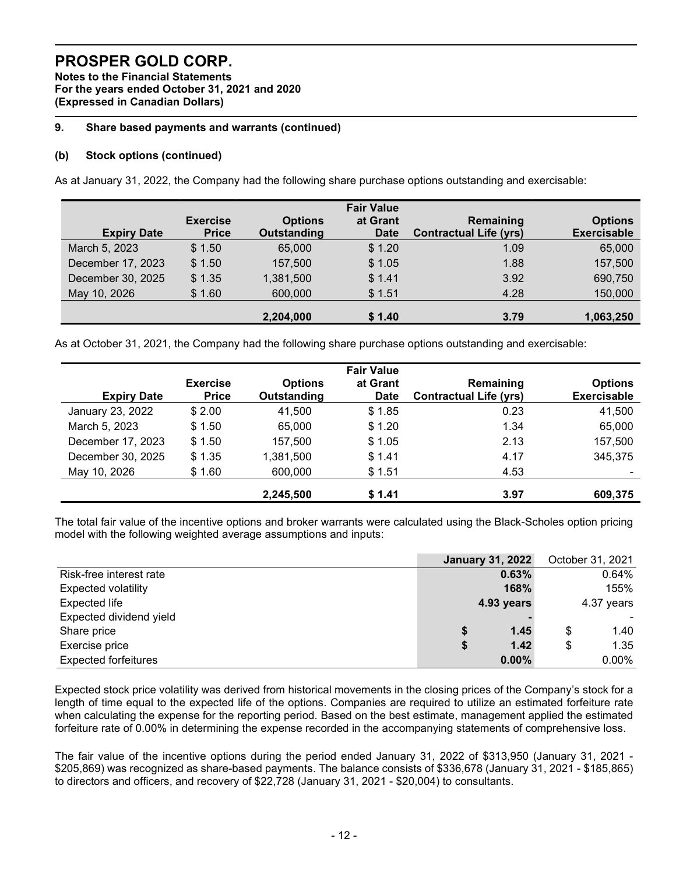Notes to the Financial Statements For the years ended October 31, 2021 and 2020 (Expressed in Canadian Dollars)

# 9. Share based payments and warrants (continued)

# (b) Stock options (continued)

As at January 31, 2022, the Company had the following share purchase options outstanding and exercisable:

|                    |                 |                    | <b>Fair Value</b> |                               |                    |
|--------------------|-----------------|--------------------|-------------------|-------------------------------|--------------------|
|                    | <b>Exercise</b> | <b>Options</b>     | at Grant          | Remaining                     | <b>Options</b>     |
| <b>Expiry Date</b> | <b>Price</b>    | <b>Outstanding</b> | <b>Date</b>       | <b>Contractual Life (yrs)</b> | <b>Exercisable</b> |
| March 5, 2023      | \$1.50          | 65,000             | \$1.20            | 1.09                          | 65,000             |
| December 17, 2023  | \$1.50          | 157,500            | \$1.05            | 1.88                          | 157,500            |
| December 30, 2025  | \$1.35          | 1,381,500          | \$1.41            | 3.92                          | 690,750            |
| May 10, 2026       | \$1.60          | 600,000            | \$1.51            | 4.28                          | 150,000            |
|                    |                 | 2,204,000          | \$1.40            | 3.79                          | 1,063,250          |

As at October 31, 2021, the Company had the following share purchase options outstanding and exercisable:

|                    |                                 |                                      | <b>Fair Value</b>       |                                            |                                      |
|--------------------|---------------------------------|--------------------------------------|-------------------------|--------------------------------------------|--------------------------------------|
| <b>Expiry Date</b> | <b>Exercise</b><br><b>Price</b> | <b>Options</b><br><b>Outstanding</b> | at Grant<br><b>Date</b> | Remaining<br><b>Contractual Life (yrs)</b> | <b>Options</b><br><b>Exercisable</b> |
| January 23, 2022   | \$2.00                          | 41,500                               | \$1.85                  | 0.23                                       | 41,500                               |
| March 5, 2023      | \$1.50                          | 65,000                               | \$1.20                  | 1.34                                       | 65,000                               |
| December 17, 2023  | \$1.50                          | 157,500                              | \$1.05                  | 2.13                                       | 157,500                              |
| December 30, 2025  | \$1.35                          | 1,381,500                            | \$1.41                  | 4.17                                       | 345,375                              |
| May 10, 2026       | \$1.60                          | 600,000                              | \$1.51                  | 4.53                                       | -                                    |
|                    |                                 | 2,245,500                            | \$1.41                  | 3.97                                       | 609,375                              |

The total fair value of the incentive options and broker warrants were calculated using the Black-Scholes option pricing model with the following weighted average assumptions and inputs:

|                             |    | <b>January 31, 2022</b> |            | October 31, 2021 |
|-----------------------------|----|-------------------------|------------|------------------|
| Risk-free interest rate     |    | 0.63%                   |            | 0.64%            |
| <b>Expected volatility</b>  |    | 168%                    |            | 155%             |
| Expected life               |    | 4.93 years              | 4.37 years |                  |
| Expected dividend yield     |    |                         |            |                  |
| Share price                 | S  | 1.45                    | \$         | 1.40             |
| Exercise price              | \$ | 1.42                    | \$         | 1.35             |
| <b>Expected forfeitures</b> |    | $0.00\%$                |            | $0.00\%$         |

Expected stock price volatility was derived from historical movements in the closing prices of the Company's stock for a length of time equal to the expected life of the options. Companies are required to utilize an estimated forfeiture rate when calculating the expense for the reporting period. Based on the best estimate, management applied the estimated forfeiture rate of 0.00% in determining the expense recorded in the accompanying statements of comprehensive loss.

The fair value of the incentive options during the period ended January 31, 2022 of \$313,950 (January 31, 2021 - \$205,869) was recognized as share-based payments. The balance consists of \$336,678 (January 31, 2021 - \$185,865) to directors and officers, and recovery of \$22,728 (January 31, 2021 - \$20,004) to consultants.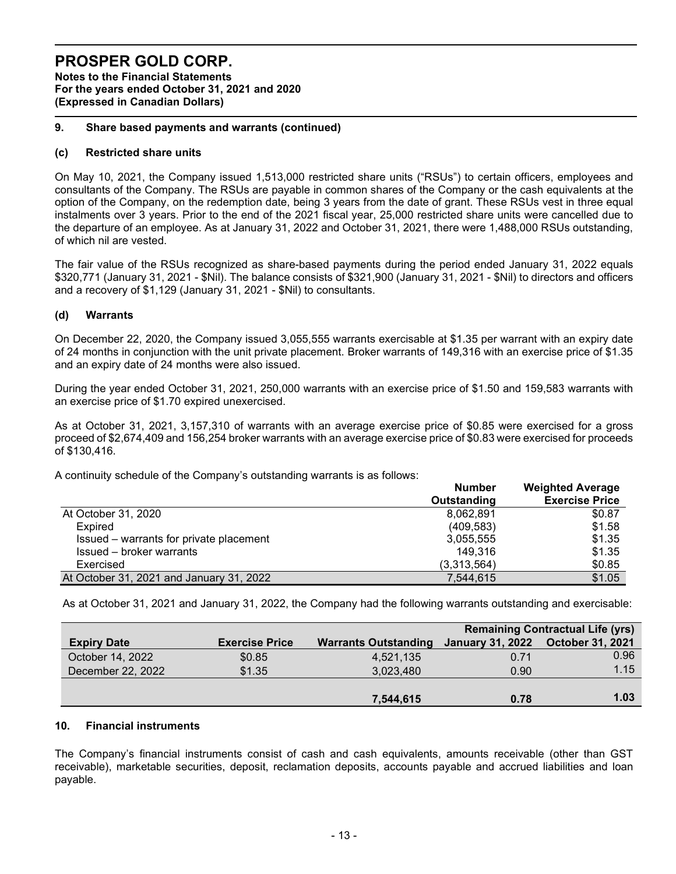Notes to the Financial Statements For the years ended October 31, 2021 and 2020 (Expressed in Canadian Dollars)

# 9. Share based payments and warrants (continued)

### (c) Restricted share units

On May 10, 2021, the Company issued 1,513,000 restricted share units ("RSUs") to certain officers, employees and consultants of the Company. The RSUs are payable in common shares of the Company or the cash equivalents at the option of the Company, on the redemption date, being 3 years from the date of grant. These RSUs vest in three equal instalments over 3 years. Prior to the end of the 2021 fiscal year, 25,000 restricted share units were cancelled due to the departure of an employee. As at January 31, 2022 and October 31, 2021, there were 1,488,000 RSUs outstanding, of which nil are vested.

The fair value of the RSUs recognized as share-based payments during the period ended January 31, 2022 equals \$320,771 (January 31, 2021 - \$Nil). The balance consists of \$321,900 (January 31, 2021 - \$Nil) to directors and officers and a recovery of \$1,129 (January 31, 2021 - \$Nil) to consultants.

# (d) Warrants

On December 22, 2020, the Company issued 3,055,555 warrants exercisable at \$1.35 per warrant with an expiry date of 24 months in conjunction with the unit private placement. Broker warrants of 149,316 with an exercise price of \$1.35 and an expiry date of 24 months were also issued.

During the year ended October 31, 2021, 250,000 warrants with an exercise price of \$1.50 and 159,583 warrants with an exercise price of \$1.70 expired unexercised.

As at October 31, 2021, 3,157,310 of warrants with an average exercise price of \$0.85 were exercised for a gross proceed of \$2,674,409 and 156,254 broker warrants with an average exercise price of \$0.83 were exercised for proceeds of \$130,416.

A continuity schedule of the Company's outstanding warrants is as follows:

|                                          | <b>Number</b> | <b>Weighted Average</b> |  |
|------------------------------------------|---------------|-------------------------|--|
|                                          | Outstanding   | <b>Exercise Price</b>   |  |
| At October 31, 2020                      | 8,062,891     | \$0.87                  |  |
| Expired                                  | (409, 583)    | \$1.58                  |  |
| Issued – warrants for private placement  | 3,055,555     | \$1.35                  |  |
| Issued - broker warrants                 | 149,316       | \$1.35                  |  |
| Exercised                                | (3,313,564)   | \$0.85                  |  |
| At October 31, 2021 and January 31, 2022 | 7.544.615     | \$1.05                  |  |

As at October 31, 2021 and January 31, 2022, the Company had the following warrants outstanding and exercisable:

|                    |                       |                             | <b>Remaining Contractual Life (yrs)</b> |                         |  |  |
|--------------------|-----------------------|-----------------------------|-----------------------------------------|-------------------------|--|--|
| <b>Expiry Date</b> | <b>Exercise Price</b> | <b>Warrants Outstanding</b> | <b>January 31, 2022</b>                 | <b>October 31, 2021</b> |  |  |
| October 14, 2022   | \$0.85                | 4,521,135                   | 0.71                                    | 0.96                    |  |  |
| December 22, 2022  | \$1.35                | 3,023,480                   | 0.90                                    | 1.15                    |  |  |
|                    |                       |                             |                                         |                         |  |  |
|                    |                       | 7,544,615                   | 0.78                                    | 1.03                    |  |  |

### 10. Financial instruments

The Company's financial instruments consist of cash and cash equivalents, amounts receivable (other than GST receivable), marketable securities, deposit, reclamation deposits, accounts payable and accrued liabilities and loan payable.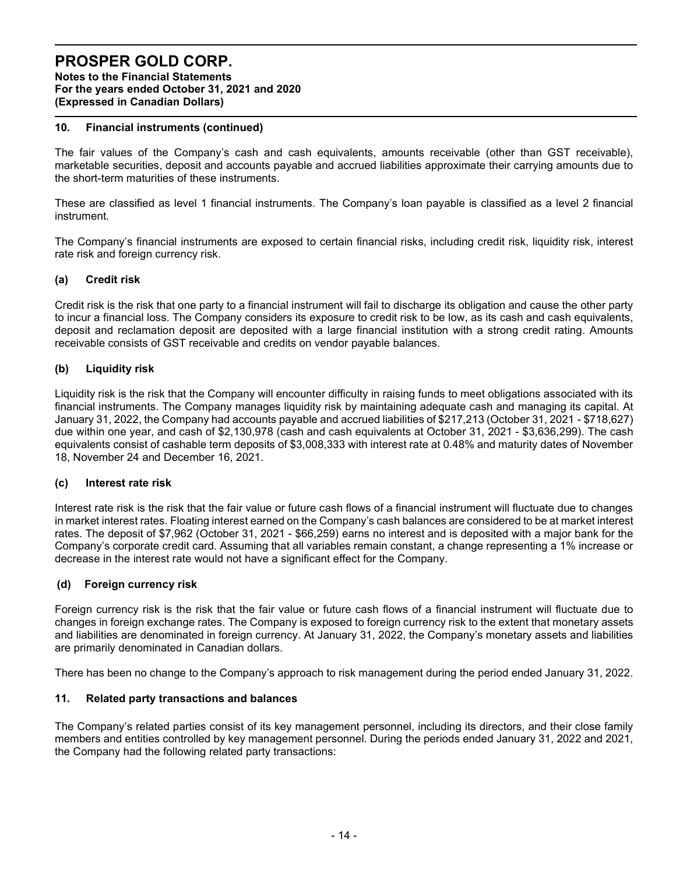Notes to the Financial Statements For the years ended October 31, 2021 and 2020 (Expressed in Canadian Dollars)

# 10. Financial instruments (continued)

The fair values of the Company's cash and cash equivalents, amounts receivable (other than GST receivable), marketable securities, deposit and accounts payable and accrued liabilities approximate their carrying amounts due to the short-term maturities of these instruments.

These are classified as level 1 financial instruments. The Company's loan payable is classified as a level 2 financial instrument.

The Company's financial instruments are exposed to certain financial risks, including credit risk, liquidity risk, interest rate risk and foreign currency risk.

# (a) Credit risk

Credit risk is the risk that one party to a financial instrument will fail to discharge its obligation and cause the other party to incur a financial loss. The Company considers its exposure to credit risk to be low, as its cash and cash equivalents, deposit and reclamation deposit are deposited with a large financial institution with a strong credit rating. Amounts receivable consists of GST receivable and credits on vendor payable balances.

# (b) Liquidity risk

Liquidity risk is the risk that the Company will encounter difficulty in raising funds to meet obligations associated with its financial instruments. The Company manages liquidity risk by maintaining adequate cash and managing its capital. At January 31, 2022, the Company had accounts payable and accrued liabilities of \$217,213 (October 31, 2021 - \$718,627) due within one year, and cash of \$2,130,978 (cash and cash equivalents at October 31, 2021 - \$3,636,299). The cash equivalents consist of cashable term deposits of \$3,008,333 with interest rate at 0.48% and maturity dates of November 18, November 24 and December 16, 2021.

# (c) Interest rate risk

Interest rate risk is the risk that the fair value or future cash flows of a financial instrument will fluctuate due to changes in market interest rates. Floating interest earned on the Company's cash balances are considered to be at market interest rates. The deposit of \$7,962 (October 31, 2021 - \$66,259) earns no interest and is deposited with a major bank for the Company's corporate credit card. Assuming that all variables remain constant, a change representing a 1% increase or decrease in the interest rate would not have a significant effect for the Company.

# (d) Foreign currency risk

Foreign currency risk is the risk that the fair value or future cash flows of a financial instrument will fluctuate due to changes in foreign exchange rates. The Company is exposed to foreign currency risk to the extent that monetary assets and liabilities are denominated in foreign currency. At January 31, 2022, the Company's monetary assets and liabilities are primarily denominated in Canadian dollars.

There has been no change to the Company's approach to risk management during the period ended January 31, 2022.

# 11. Related party transactions and balances

The Company's related parties consist of its key management personnel, including its directors, and their close family members and entities controlled by key management personnel. During the periods ended January 31, 2022 and 2021, the Company had the following related party transactions: